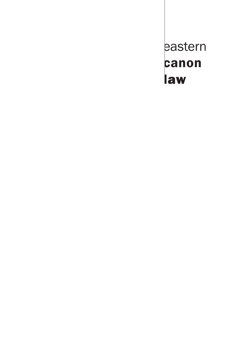eastern canon law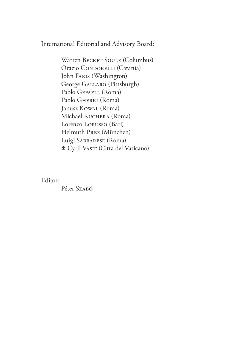International Editorial and Advisory Board:

Warren BECKET SOULE (Columbus) Orazio CONDORELLI (Catania) John Faris (Washington) George Gallaro (Pittsburgh) Pablo GEFAELL (Roma) Paolo GHERRI (Roma) Janusz Kowal (Roma) Michael Kuchera (Roma) Lorenzo Lorusso (Bari) Helmuth Pree (München) Luigi Sabbarese (Roma) Cyril Vasiľ (Città del Vaticano)

Editor:

Péter Szabó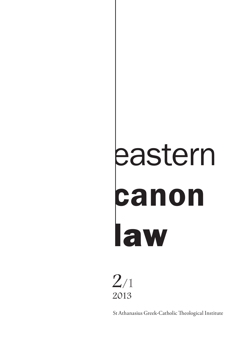# eastern canon law



St Athanasius Greek-Catholic Theological Institute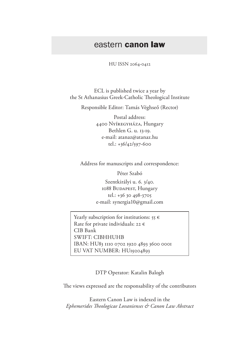# eastern canon law

HU ISSN 2064-0412

ECL is published twice a year by the St Athanasius Greek-Catholic Theological Institute

Responsible Editor: Tamás Véghseő (Rector)

Postal address: 4400 Nyíregyháza, Hungary Bethlen G. u. 13-19. e-mail: atanaz@atanaz.hu tel.: +36/42/597-600

Address for manuscripts and correspondence:

Péter Szabó

Szentkirályi u. 6. 3/40. 1088 Budapest, Hungary tel.: +36 30 498-3705 e-mail: synergia10@gmail.com

Yearly subscription for institutions:  $55 \in$ Rate for private individuals: 22  $\epsilon$ CIB Bank SWIFT: CIBHHUHB IBAN: HU83 1110 0702 1920 4893 3600 0001 EU VAT NUMBER: HU19204893

DTP Operator: Katalin Balogh

The views expressed are the responsability of the contributors

Eastern Canon Law is indexed in the *Ephemerides Theologicae Lovanienses & Canon Law Abstract*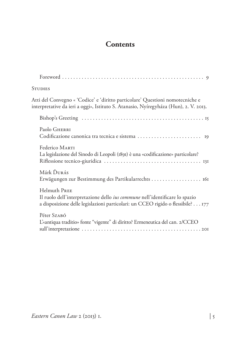# **Contents**